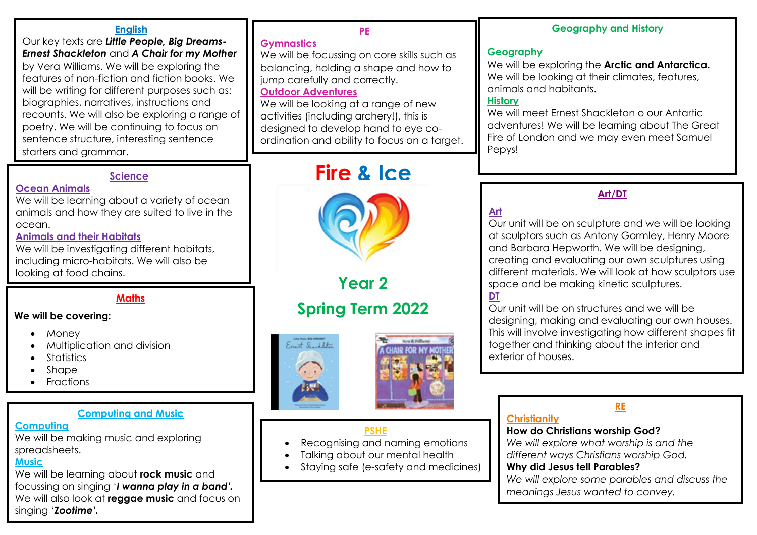### **English**

Our key texts are *Little People, Big Dreams-Ernest Shackleton* and *A Chair for my Mother* by Vera Williams. We will be exploring the features of non-fiction and fiction books. We will be writing for different purposes such as: biographies, narratives, instructions and recounts. We will also be exploring a range of poetry. We will be continuing to focus on sentence structure, interesting sentence starters and grammar.

### **Science**

### **Ocean Animals**

We will be learning about a variety of ocean animals and how they are suited to live in the ocean.

### **Animals and their Habitats**

We will be investigating different habitats, including micro-habitats. We will also be looking at food chains.

## **Maths**

### **We will be covering:**

- Money
- Multiplication and division
- Statistics
- Shape
- Fractions

## **Computing and Music**

### **Computing**

We will be making music and exploring spreadsheets.

## **Music**

We will be learning about **rock music** and focussing on singing '*I wanna play in a band'.*  We will also look at **reggae music** and focus on singing '*Zootime'.*

## **PE**

### **Gymnastics**

We will be focussing on core skills such as balancing, holding a shape and how to jump carefully and correctly. **Outdoor Adventures**

We will be looking at a range of new activities (including archery!), this is designed to develop hand to eye coordination and ability to focus on a target.

# **Fire & Ice**



## **Year 2 Spring Term 2022**





## **PSHE**

- Recognising and naming emotions
- Talking about our mental health
- Staying safe (e-safety and medicines)

### **Geography and History**

### **Geography**

We will be exploring the **Arctic and Antarctica.**  We will be looking at their climates, features, animals and habitants.

### **History**

We will meet Ernest Shackleton o our Antartic adventures! We will be learning about The Great Fire of London and we may even meet Samuel Pepys!

## **Art/DT**

## **Art**

Our unit will be on sculpture and we will be looking at sculptors such as Antony Gormley, Henry Moore and Barbara Hepworth. We will be designing, creating and evaluating our own sculptures using different materials. We will look at how sculptors use space and be making kinetic sculptures. **DT**

Our unit will be on structures and we will be designing, making and evaluating our own houses. This will involve investigating how different shapes fit together and thinking about the interior and exterior of houses.

## **RE**

#### **Christianity How do Christians worship God?**

*We will explore what worship is and the different ways Christians worship God.*

## **Why did Jesus tell Parables?**

*We will explore some parables and discuss the meanings Jesus wanted to convey.*